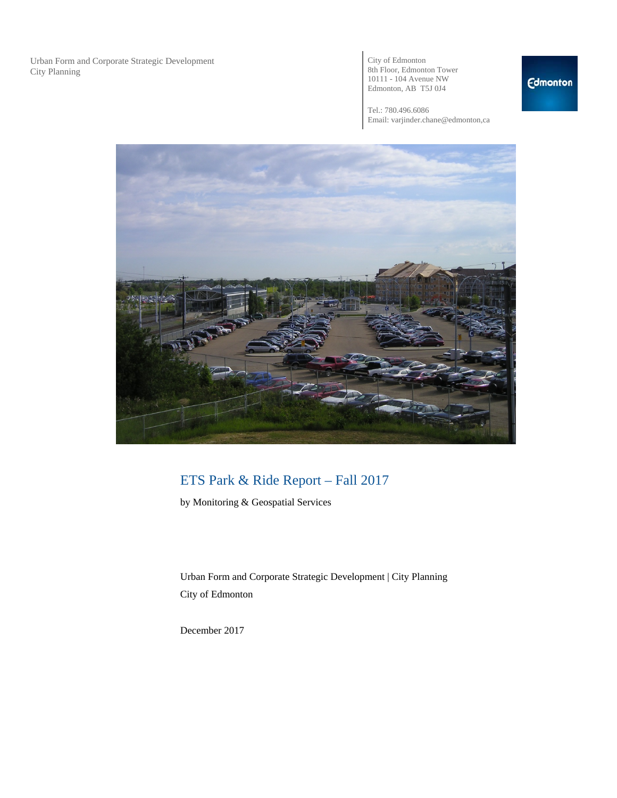Urban Form and Corporate Strategic Development City Planning

City of Edmonton 8th Floor, Edmonton Tower 10111 - 104 Avenue NW Edmonton, AB T5J 0J4

Tel.: 780.496.6086 Email: varjinder.chane@edmonton,ca



## ETS Park & Ride Report – Fall 2017

by Monitoring & Geospatial Services

Urban Form and Corporate Strategic Development | City Planning City of Edmonton

December 2017

### **Edmonton**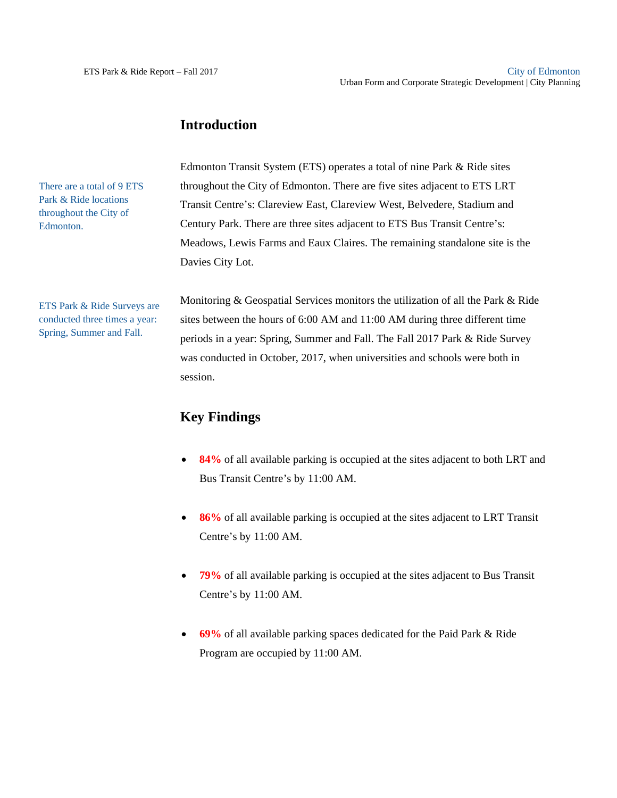### **Introduction**

There are a total of 9 ETS Park & Ride locations throughout the City of Edmonton.

Edmonton Transit System (ETS) operates a total of nine Park & Ride sites throughout the City of Edmonton. There are five sites adjacent to ETS LRT Transit Centre's: Clareview East, Clareview West, Belvedere, Stadium and Century Park. There are three sites adjacent to ETS Bus Transit Centre's: Meadows, Lewis Farms and Eaux Claires. The remaining standalone site is the Davies City Lot.

ETS Park & Ride Surveys are conducted three times a year: Spring, Summer and Fall.

Monitoring & Geospatial Services monitors the utilization of all the Park & Ride sites between the hours of 6:00 AM and 11:00 AM during three different time periods in a year: Spring, Summer and Fall. The Fall 2017 Park & Ride Survey was conducted in October, 2017, when universities and schools were both in session.

### **Key Findings**

- **84%** of all available parking is occupied at the sites adjacent to both LRT and Bus Transit Centre's by 11:00 AM.
- **86%** of all available parking is occupied at the sites adjacent to LRT Transit Centre's by 11:00 AM.
- **79%** of all available parking is occupied at the sites adjacent to Bus Transit Centre's by 11:00 AM.
- **69%** of all available parking spaces dedicated for the Paid Park & Ride Program are occupied by 11:00 AM.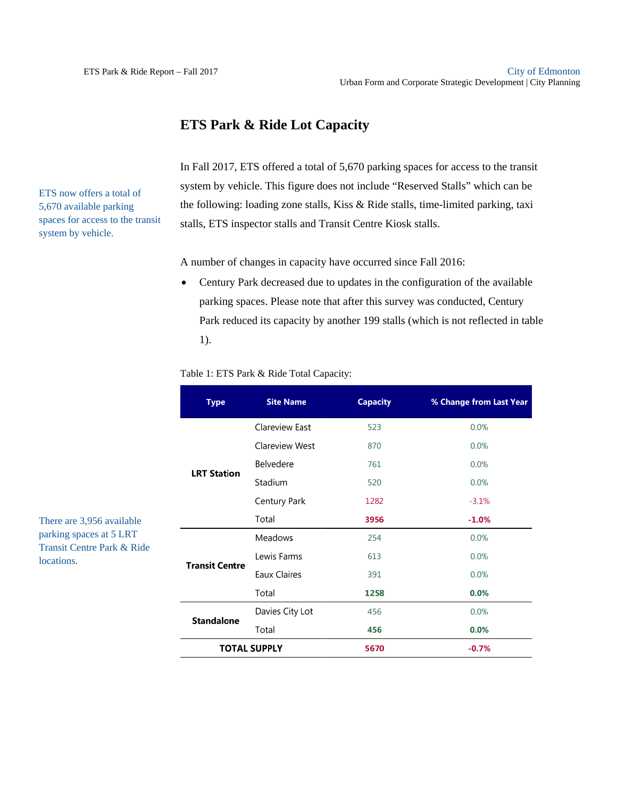### **ETS Park & Ride Lot Capacity**

ETS now offers a total of 5,670 available parking spaces for access to the transit system by vehicle.

In Fall 2017, ETS offered a total of 5,670 parking spaces for access to the transit system by vehicle. This figure does not include "Reserved Stalls" which can be the following: loading zone stalls, Kiss & Ride stalls, time-limited parking, taxi stalls, ETS inspector stalls and Transit Centre Kiosk stalls.

A number of changes in capacity have occurred since Fall 2016:

 Century Park decreased due to updates in the configuration of the available parking spaces. Please note that after this survey was conducted, Century Park reduced its capacity by another 199 stalls (which is not reflected in table 1).

|  |  |  |  |  |  |  | Table 1: ETS Park & Ride Total Capacity: |
|--|--|--|--|--|--|--|------------------------------------------|
|--|--|--|--|--|--|--|------------------------------------------|

| <b>Type</b>           | <b>Site Name</b>    | <b>Capacity</b> | % Change from Last Year |
|-----------------------|---------------------|-----------------|-------------------------|
|                       | Clareview East      | 523             | 0.0%                    |
|                       | Clareview West      | 870             | 0.0%                    |
| <b>LRT Station</b>    | Belvedere           | 761             | 0.0%                    |
|                       | Stadium             | 520             | 0.0%                    |
|                       | Century Park        | 1282            | $-3.1%$                 |
|                       | Total               | 3956            | $-1.0%$                 |
|                       | Meadows             | 254             | 0.0%                    |
| <b>Transit Centre</b> | Lewis Farms         | 613             | 0.0%                    |
|                       | Eaux Claires        | 391             | 0.0%                    |
|                       | Total               | 1258            | 0.0%                    |
| <b>Standalone</b>     | Davies City Lot     | 456             | 0.0%                    |
|                       | Total               | 456             | 0.0%                    |
|                       | <b>TOTAL SUPPLY</b> | 5670            | $-0.7%$                 |

There are 3,956 available parking spaces at 5 LRT Transit Centre Park & Ride locations.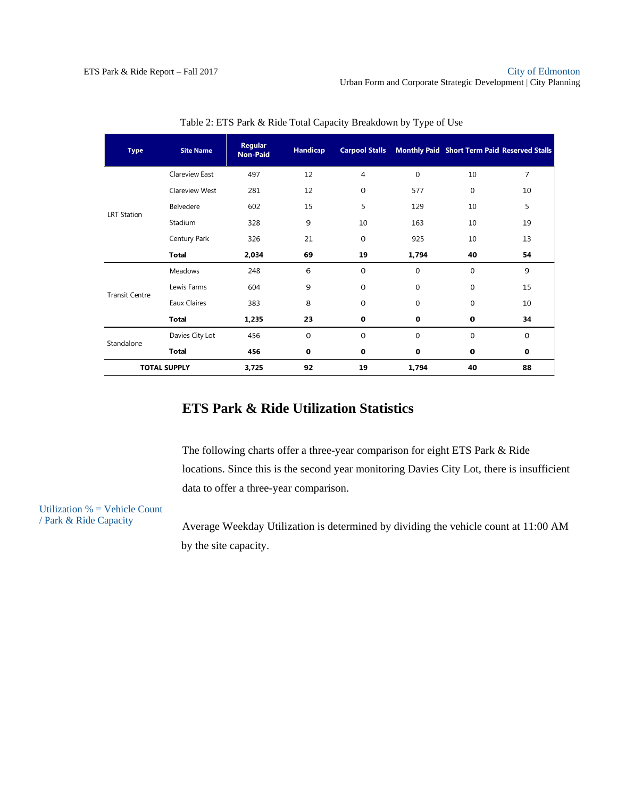| <b>Type</b>           | <b>Site Name</b>    | <b>Regular</b><br><b>Non-Paid</b> | <b>Handicap</b> |             |          | <b>Carpool Stalls Monthly Paid Short Term Paid Reserved Stalls</b> |    |
|-----------------------|---------------------|-----------------------------------|-----------------|-------------|----------|--------------------------------------------------------------------|----|
|                       | Clareview East      | 497                               | 12              | 4           | 0        | 10                                                                 | 7  |
|                       | Clareview West      | 281                               | 12              | 0           | 577      | 0                                                                  | 10 |
| <b>LRT Station</b>    | Belvedere           | 602                               | 15              | 5           | 129      | 10                                                                 | 5  |
|                       | Stadium             | 328                               | 9               | 10          | 163      | 10                                                                 | 19 |
|                       | Century Park        | 326                               | 21              | $\mathbf 0$ | 925      | 10                                                                 | 13 |
|                       | <b>Total</b>        | 2,034                             | 69              | 19          | 1,794    | 40                                                                 | 54 |
|                       | Meadows             | 248                               | 6               | $\mathbf 0$ | 0        | $\Omega$                                                           | 9  |
| <b>Transit Centre</b> | Lewis Farms         | 604                               | 9               | $\mathbf 0$ | 0        | $\Omega$                                                           | 15 |
|                       | Eaux Claires        | 383                               | 8               | 0           | 0        | 0                                                                  | 10 |
|                       | <b>Total</b>        | 1,235                             | 23              | 0           | 0        | 0                                                                  | 34 |
| Standalone            | Davies City Lot     | 456                               | $\mathbf 0$     | $\mathbf 0$ | $\Omega$ | $\Omega$                                                           | 0  |
|                       | <b>Total</b>        | 456                               | 0               | 0           | 0        | 0                                                                  | 0  |
|                       | <b>TOTAL SUPPLY</b> | 3,725                             | 92              | 19          | 1,794    | 40                                                                 | 88 |

Table 2: ETS Park & Ride Total Capacity Breakdown by Type of Use

### **ETS Park & Ride Utilization Statistics**

The following charts offer a three-year comparison for eight ETS Park & Ride locations. Since this is the second year monitoring Davies City Lot, there is insufficient data to offer a three-year comparison.

Utilization % = Vehicle Count / Park & Ride Capacity

Average Weekday Utilization is determined by dividing the vehicle count at 11:00 AM by the site capacity.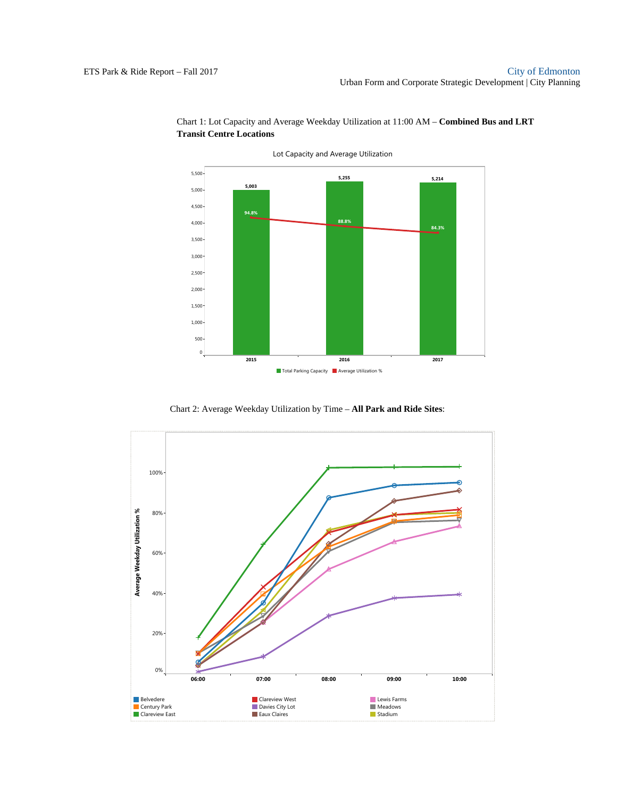

Chart 1: Lot Capacity and Average Weekday Utilization at 11:00 AM – **Combined Bus and LRT Transit Centre Locations** 

Chart 2: Average Weekday Utilization by Time – **All Park and Ride Sites**:

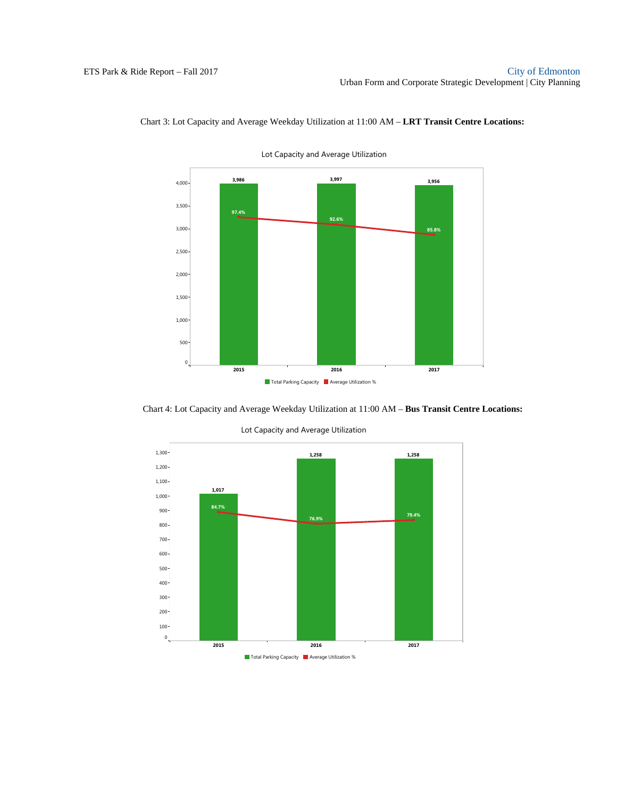

Chart 3: Lot Capacity and Average Weekday Utilization at 11:00 AM – **LRT Transit Centre Locations:** 

Chart 4: Lot Capacity and Average Weekday Utilization at 11:00 AM – **Bus Transit Centre Locations:** 



Lot Capacity and Average Utilization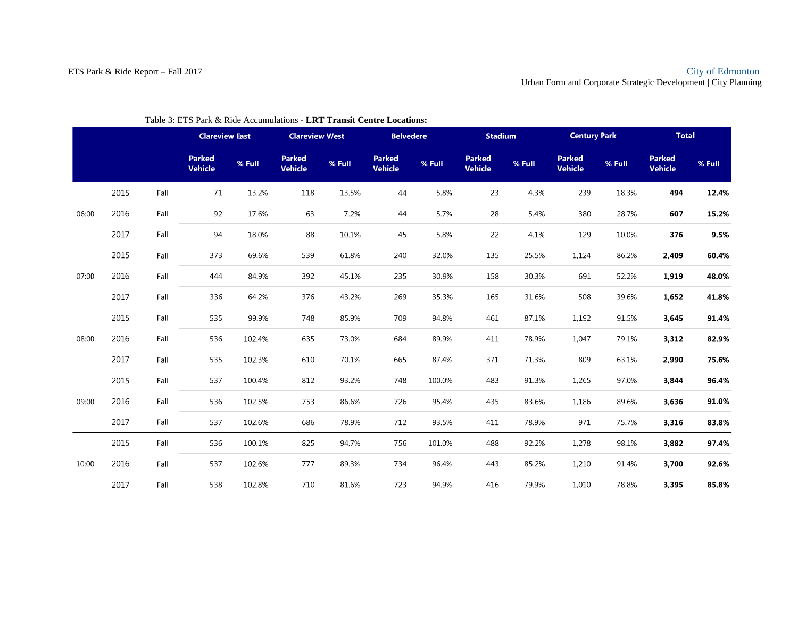|       |      |      | <b>Clareview East</b>           |        | <b>Clareview West</b>           |        | <b>Belvedere</b>                |        | <b>Stadium</b>           |        | <b>Century Park</b>             |        | <b>Total</b>                    |        |
|-------|------|------|---------------------------------|--------|---------------------------------|--------|---------------------------------|--------|--------------------------|--------|---------------------------------|--------|---------------------------------|--------|
|       |      |      | <b>Parked</b><br><b>Vehicle</b> | % Full | <b>Parked</b><br><b>Vehicle</b> | % Full | <b>Parked</b><br><b>Vehicle</b> | % Full | <b>Parked</b><br>Vehicle | % Full | <b>Parked</b><br><b>Vehicle</b> | % Full | <b>Parked</b><br><b>Vehicle</b> | % Full |
|       | 2015 | Fall | 71                              | 13.2%  | 118                             | 13.5%  | 44                              | 5.8%   | 23                       | 4.3%   | 239                             | 18.3%  | 494                             | 12.4%  |
| 06:00 | 2016 | Fall | 92                              | 17.6%  | 63                              | 7.2%   | 44                              | 5.7%   | 28                       | 5.4%   | 380                             | 28.7%  | 607                             | 15.2%  |
|       | 2017 | Fall | 94                              | 18.0%  | 88                              | 10.1%  | 45                              | 5.8%   | 22                       | 4.1%   | 129                             | 10.0%  | 376                             | 9.5%   |
|       | 2015 | Fall | 373                             | 69.6%  | 539                             | 61.8%  | 240                             | 32.0%  | 135                      | 25.5%  | 1,124                           | 86.2%  | 2,409                           | 60.4%  |
| 07:00 | 2016 | Fall | 444                             | 84.9%  | 392                             | 45.1%  | 235                             | 30.9%  | 158                      | 30.3%  | 691                             | 52.2%  | 1,919                           | 48.0%  |
|       | 2017 | Fall | 336                             | 64.2%  | 376                             | 43.2%  | 269                             | 35.3%  | 165                      | 31.6%  | 508                             | 39.6%  | 1,652                           | 41.8%  |
|       | 2015 | Fall | 535                             | 99.9%  | 748                             | 85.9%  | 709                             | 94.8%  | 461                      | 87.1%  | 1,192                           | 91.5%  | 3,645                           | 91.4%  |
| 08:00 | 2016 | Fall | 536                             | 102.4% | 635                             | 73.0%  | 684                             | 89.9%  | 411                      | 78.9%  | 1,047                           | 79.1%  | 3,312                           | 82.9%  |
|       | 2017 | Fall | 535                             | 102.3% | 610                             | 70.1%  | 665                             | 87.4%  | 371                      | 71.3%  | 809                             | 63.1%  | 2,990                           | 75.6%  |
|       | 2015 | Fall | 537                             | 100.4% | 812                             | 93.2%  | 748                             | 100.0% | 483                      | 91.3%  | 1,265                           | 97.0%  | 3,844                           | 96.4%  |
| 09:00 | 2016 | Fall | 536                             | 102.5% | 753                             | 86.6%  | 726                             | 95.4%  | 435                      | 83.6%  | 1,186                           | 89.6%  | 3,636                           | 91.0%  |
|       | 2017 | Fall | 537                             | 102.6% | 686                             | 78.9%  | 712                             | 93.5%  | 411                      | 78.9%  | 971                             | 75.7%  | 3,316                           | 83.8%  |
|       | 2015 | Fall | 536                             | 100.1% | 825                             | 94.7%  | 756                             | 101.0% | 488                      | 92.2%  | 1,278                           | 98.1%  | 3,882                           | 97.4%  |
| 10:00 | 2016 | Fall | 537                             | 102.6% | 777                             | 89.3%  | 734                             | 96.4%  | 443                      | 85.2%  | 1,210                           | 91.4%  | 3,700                           | 92.6%  |
|       | 2017 | Fall | 538                             | 102.8% | 710                             | 81.6%  | 723                             | 94.9%  | 416                      | 79.9%  | 1,010                           | 78.8%  | 3,395                           | 85.8%  |

#### Table 3: ETS Park & Ride Accumulations - **LRT Transit Centre Locations:**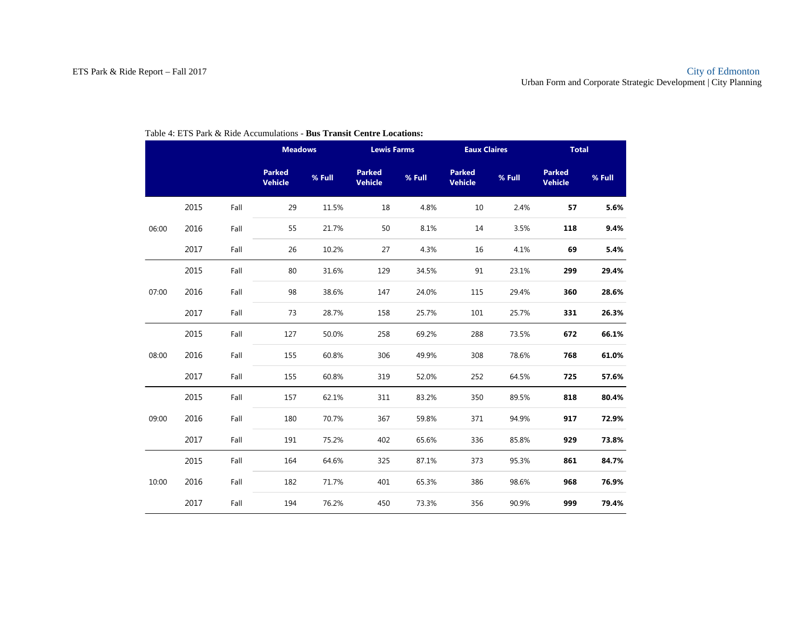|       |      |      | <b>Meadows</b>                  |        | <b>Lewis Farms</b>              |        | <b>Eaux Claires</b>             |        | <b>Total</b>                    |        |  |
|-------|------|------|---------------------------------|--------|---------------------------------|--------|---------------------------------|--------|---------------------------------|--------|--|
|       |      |      | <b>Parked</b><br><b>Vehicle</b> | % Full | <b>Parked</b><br><b>Vehicle</b> | % Full | <b>Parked</b><br><b>Vehicle</b> | % Full | <b>Parked</b><br><b>Vehicle</b> | % Full |  |
|       | 2015 | Fall | 29                              | 11.5%  | 18                              | 4.8%   | 10                              | 2.4%   | 57                              | 5.6%   |  |
| 06:00 | 2016 | Fall | 55                              | 21.7%  | 50                              | 8.1%   | 14                              | 3.5%   | 118                             | 9.4%   |  |
|       | 2017 | Fall | 26                              | 10.2%  | 27                              | 4.3%   | 16                              | 4.1%   | 69                              | 5.4%   |  |
|       | 2015 | Fall | 80                              | 31.6%  | 129                             | 34.5%  | 91                              | 23.1%  | 299                             | 29.4%  |  |
| 07:00 | 2016 | Fall | 98                              | 38.6%  | 147                             | 24.0%  | 115                             | 29.4%  | 360                             | 28.6%  |  |
|       | 2017 | Fall | 73                              | 28.7%  | 158                             | 25.7%  | 101                             | 25.7%  | 331                             | 26.3%  |  |
|       | 2015 | Fall | 127                             | 50.0%  | 258                             | 69.2%  | 288                             | 73.5%  | 672                             | 66.1%  |  |
| 08:00 | 2016 | Fall | 155                             | 60.8%  | 306                             | 49.9%  | 308                             | 78.6%  | 768                             | 61.0%  |  |
|       | 2017 | Fall | 155                             | 60.8%  | 319                             | 52.0%  | 252                             | 64.5%  | 725                             | 57.6%  |  |
|       | 2015 | Fall | 157                             | 62.1%  | 311                             | 83.2%  | 350                             | 89.5%  | 818                             | 80.4%  |  |
| 09:00 | 2016 | Fall | 180                             | 70.7%  | 367                             | 59.8%  | 371                             | 94.9%  | 917                             | 72.9%  |  |
|       | 2017 | Fall | 191                             | 75.2%  | 402                             | 65.6%  | 336                             | 85.8%  | 929                             | 73.8%  |  |
|       | 2015 | Fall | 164                             | 64.6%  | 325                             | 87.1%  | 373                             | 95.3%  | 861                             | 84.7%  |  |
| 10:00 | 2016 | Fall | 182                             | 71.7%  | 401                             | 65.3%  | 386                             | 98.6%  | 968                             | 76.9%  |  |
|       | 2017 | Fall | 194                             | 76.2%  | 450                             | 73.3%  | 356                             | 90.9%  | 999                             | 79.4%  |  |

#### Table 4: ETS Park & Ride Accumulations - **Bus Transit Centre Locations:**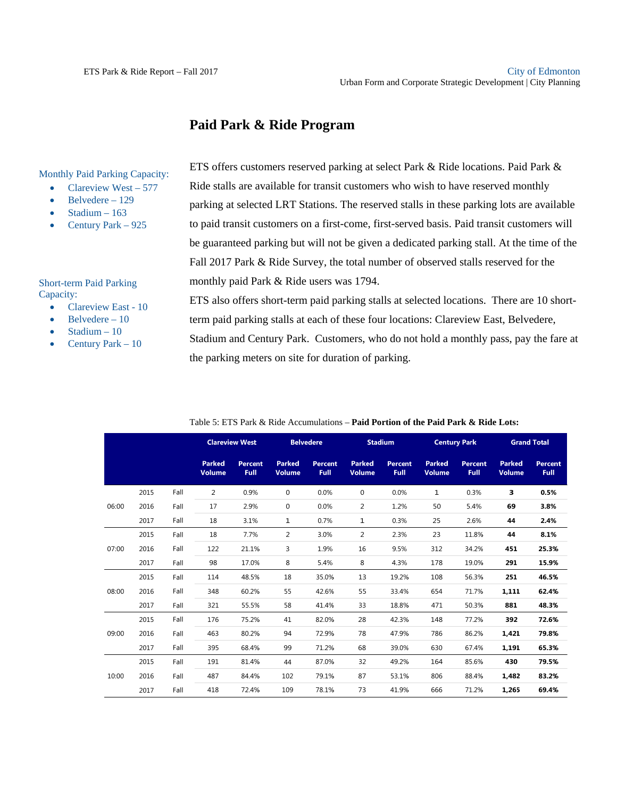### **Paid Park & Ride Program**

Monthly Paid Parking Capacity:

- Clareview West  $-577$
- Belvedere 129
- Stadium 163
- Century Park 925

Short-term Paid Parking Capacity:

- Clareview East 10
- Belvedere 10
- Stadium 10
- Century Park 10

ETS offers customers reserved parking at select Park & Ride locations. Paid Park & Ride stalls are available for transit customers who wish to have reserved monthly parking at selected LRT Stations. The reserved stalls in these parking lots are available to paid transit customers on a first-come, first-served basis. Paid transit customers will be guaranteed parking but will not be given a dedicated parking stall. At the time of the Fall 2017 Park & Ride Survey, the total number of observed stalls reserved for the monthly paid Park & Ride users was 1794.

ETS also offers short-term paid parking stalls at selected locations. There are 10 shortterm paid parking stalls at each of these four locations: Clareview East, Belvedere,

Stadium and Century Park. Customers, who do not hold a monthly pass, pay the fare at the parking meters on site for duration of parking.

|       |      |      |                                | <b>Clareview West</b> |                                | <b>Belvedere</b>       |                                | <b>Stadium</b>  |                                | <b>Century Park</b>    |                                | <b>Grand Total</b>            |
|-------|------|------|--------------------------------|-----------------------|--------------------------------|------------------------|--------------------------------|-----------------|--------------------------------|------------------------|--------------------------------|-------------------------------|
|       |      |      | <b>Parked</b><br><b>Volume</b> | Percent<br>Full       | <b>Parked</b><br><b>Volume</b> | <b>Percent</b><br>Full | <b>Parked</b><br><b>Volume</b> | Percent<br>Full | <b>Parked</b><br><b>Volume</b> | <b>Percent</b><br>Full | <b>Parked</b><br><b>Volume</b> | <b>Percent</b><br><b>Full</b> |
|       | 2015 | Fall | 2                              | 0.9%                  | $\mathbf 0$                    | 0.0%                   | 0                              | 0.0%            | 1                              | 0.3%                   | 3.                             | 0.5%                          |
| 06:00 | 2016 | Fall | 17                             | 2.9%                  | 0                              | 0.0%                   | $\overline{2}$                 | 1.2%            | 50                             | 5.4%                   | 69                             | 3.8%                          |
|       | 2017 | Fall | 18                             | 3.1%                  | 1                              | 0.7%                   | 1                              | 0.3%            | 25                             | 2.6%                   | 44                             | 2.4%                          |
|       | 2015 | Fall | 18                             | 7.7%                  | $\overline{a}$                 | 3.0%                   | $\overline{2}$                 | 2.3%            | 23                             | 11.8%                  | 44                             | 8.1%                          |
| 07:00 | 2016 | Fall | 122                            | 21.1%                 | 3                              | 1.9%                   | 16                             | 9.5%            | 312                            | 34.2%                  | 451                            | 25.3%                         |
|       | 2017 | Fall | 98                             | 17.0%                 | 8                              | 5.4%                   | 8                              | 4.3%            | 178                            | 19.0%                  | 291                            | 15.9%                         |
|       | 2015 | Fall | 114                            | 48.5%                 | 18                             | 35.0%                  | 13                             | 19.2%           | 108                            | 56.3%                  | 251                            | 46.5%                         |
| 08:00 | 2016 | Fall | 348                            | 60.2%                 | 55                             | 42.6%                  | 55                             | 33.4%           | 654                            | 71.7%                  | 1.111                          | 62.4%                         |
|       | 2017 | Fall | 321                            | 55.5%                 | 58                             | 41.4%                  | 33                             | 18.8%           | 471                            | 50.3%                  | 881                            | 48.3%                         |
|       | 2015 | Fall | 176                            | 75.2%                 | 41                             | 82.0%                  | 28                             | 42.3%           | 148                            | 77.2%                  | 392                            | 72.6%                         |
| 09:00 | 2016 | Fall | 463                            | 80.2%                 | 94                             | 72.9%                  | 78                             | 47.9%           | 786                            | 86.2%                  | 1.421                          | 79.8%                         |
|       | 2017 | Fall | 395                            | 68.4%                 | 99                             | 71.2%                  | 68                             | 39.0%           | 630                            | 67.4%                  | 1.191                          | 65.3%                         |
|       | 2015 | Fall | 191                            | 81.4%                 | 44                             | 87.0%                  | 32                             | 49.2%           | 164                            | 85.6%                  | 430                            | 79.5%                         |
| 10:00 | 2016 | Fall | 487                            | 84.4%                 | 102                            | 79.1%                  | 87                             | 53.1%           | 806                            | 88.4%                  | 1.482                          | 83.2%                         |
|       | 2017 | Fall | 418                            | 72.4%                 | 109                            | 78.1%                  | 73                             | 41.9%           | 666                            | 71.2%                  | 1.265                          | 69.4%                         |

#### Table 5: ETS Park & Ride Accumulations – **Paid Portion of the Paid Park & Ride Lots:**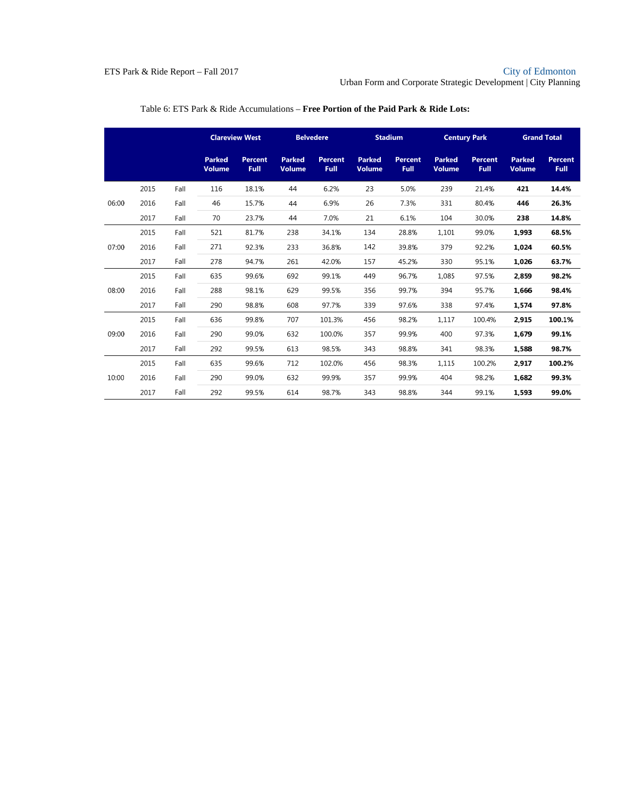#### ETS Park & Ride Report – Fall 2017 City of Edmonton City of Edmonton

Urban Form and Corporate Strategic Development | City Planning

|       |      |      |                                | <b>Clareview West</b>  |                                | <b>Belvedere</b>       |                                | <b>Stadium</b>         |                                | <b>Century Park</b>           |                                | <b>Grand Total</b>     |
|-------|------|------|--------------------------------|------------------------|--------------------------------|------------------------|--------------------------------|------------------------|--------------------------------|-------------------------------|--------------------------------|------------------------|
|       |      |      | <b>Parked</b><br><b>Volume</b> | <b>Percent</b><br>Full | <b>Parked</b><br><b>Volume</b> | <b>Percent</b><br>Full | <b>Parked</b><br><b>Volume</b> | Percent<br><b>Full</b> | <b>Parked</b><br><b>Volume</b> | <b>Percent</b><br><b>Full</b> | <b>Parked</b><br><b>Volume</b> | <b>Percent</b><br>Full |
|       | 2015 | Fall | 116                            | 18.1%                  | 44                             | 6.2%                   | 23                             | 5.0%                   | 239                            | 21.4%                         | 421                            | 14.4%                  |
| 06:00 | 2016 | Fall | 46                             | 15.7%                  | 44                             | 6.9%                   | 26                             | 7.3%                   | 331                            | 80.4%                         | 446                            | 26.3%                  |
|       | 2017 | Fall | 70                             | 23.7%                  | 44                             | 7.0%                   | 21                             | 6.1%                   | 104                            | 30.0%                         | 238                            | 14.8%                  |
|       | 2015 | Fall | 521                            | 81.7%                  | 238                            | 34.1%                  | 134                            | 28.8%                  | 1,101                          | 99.0%                         | 1,993                          | 68.5%                  |
| 07:00 | 2016 | Fall | 271                            | 92.3%                  | 233                            | 36.8%                  | 142                            | 39.8%                  | 379                            | 92.2%                         | 1.024                          | 60.5%                  |
|       | 2017 | Fall | 278                            | 94.7%                  | 261                            | 42.0%                  | 157                            | 45.2%                  | 330                            | 95.1%                         | 1.026                          | 63.7%                  |
|       | 2015 | Fall | 635                            | 99.6%                  | 692                            | 99.1%                  | 449                            | 96.7%                  | 1,085                          | 97.5%                         | 2,859                          | 98.2%                  |
| 08:00 | 2016 | Fall | 288                            | 98.1%                  | 629                            | 99.5%                  | 356                            | 99.7%                  | 394                            | 95.7%                         | 1.666                          | 98.4%                  |
|       | 2017 | Fall | 290                            | 98.8%                  | 608                            | 97.7%                  | 339                            | 97.6%                  | 338                            | 97.4%                         | 1,574                          | 97.8%                  |
|       | 2015 | Fall | 636                            | 99.8%                  | 707                            | 101.3%                 | 456                            | 98.2%                  | 1,117                          | 100.4%                        | 2.915                          | 100.1%                 |
| 09:00 | 2016 | Fall | 290                            | 99.0%                  | 632                            | 100.0%                 | 357                            | 99.9%                  | 400                            | 97.3%                         | 1,679                          | 99.1%                  |
|       | 2017 | Fall | 292                            | 99.5%                  | 613                            | 98.5%                  | 343                            | 98.8%                  | 341                            | 98.3%                         | 1,588                          | 98.7%                  |
|       | 2015 | Fall | 635                            | 99.6%                  | 712                            | 102.0%                 | 456                            | 98.3%                  | 1,115                          | 100.2%                        | 2.917                          | 100.2%                 |
| 10:00 | 2016 | Fall | 290                            | 99.0%                  | 632                            | 99.9%                  | 357                            | 99.9%                  | 404                            | 98.2%                         | 1.682                          | 99.3%                  |
|       | 2017 | Fall | 292                            | 99.5%                  | 614                            | 98.7%                  | 343                            | 98.8%                  | 344                            | 99.1%                         | 1,593                          | 99.0%                  |

### Table 6: ETS Park & Ride Accumulations – **Free Portion of the Paid Park & Ride Lots:**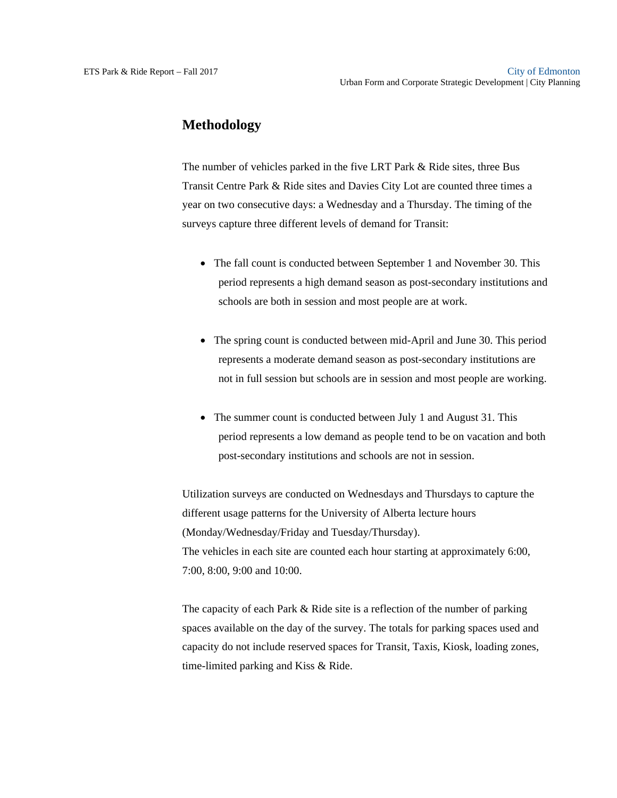### **Methodology**

The number of vehicles parked in the five LRT Park & Ride sites, three Bus Transit Centre Park & Ride sites and Davies City Lot are counted three times a year on two consecutive days: a Wednesday and a Thursday. The timing of the surveys capture three different levels of demand for Transit:

- The fall count is conducted between September 1 and November 30. This period represents a high demand season as post-secondary institutions and schools are both in session and most people are at work.
- The spring count is conducted between mid-April and June 30. This period represents a moderate demand season as post-secondary institutions are not in full session but schools are in session and most people are working.
- The summer count is conducted between July 1 and August 31. This period represents a low demand as people tend to be on vacation and both post-secondary institutions and schools are not in session.

Utilization surveys are conducted on Wednesdays and Thursdays to capture the different usage patterns for the University of Alberta lecture hours (Monday/Wednesday/Friday and Tuesday/Thursday). The vehicles in each site are counted each hour starting at approximately 6:00, 7:00, 8:00, 9:00 and 10:00.

The capacity of each Park & Ride site is a reflection of the number of parking spaces available on the day of the survey. The totals for parking spaces used and capacity do not include reserved spaces for Transit, Taxis, Kiosk, loading zones, time-limited parking and Kiss & Ride.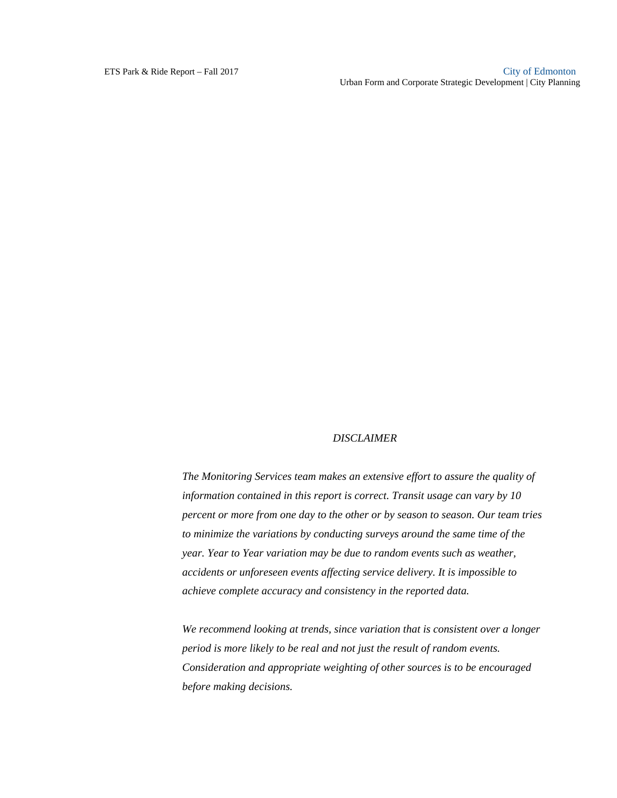#### *DISCLAIMER*

*The Monitoring Services team makes an extensive effort to assure the quality of information contained in this report is correct. Transit usage can vary by 10 percent or more from one day to the other or by season to season. Our team tries to minimize the variations by conducting surveys around the same time of the year. Year to Year variation may be due to random events such as weather, accidents or unforeseen events affecting service delivery. It is impossible to achieve complete accuracy and consistency in the reported data.* 

*We recommend looking at trends, since variation that is consistent over a longer period is more likely to be real and not just the result of random events. Consideration and appropriate weighting of other sources is to be encouraged before making decisions.*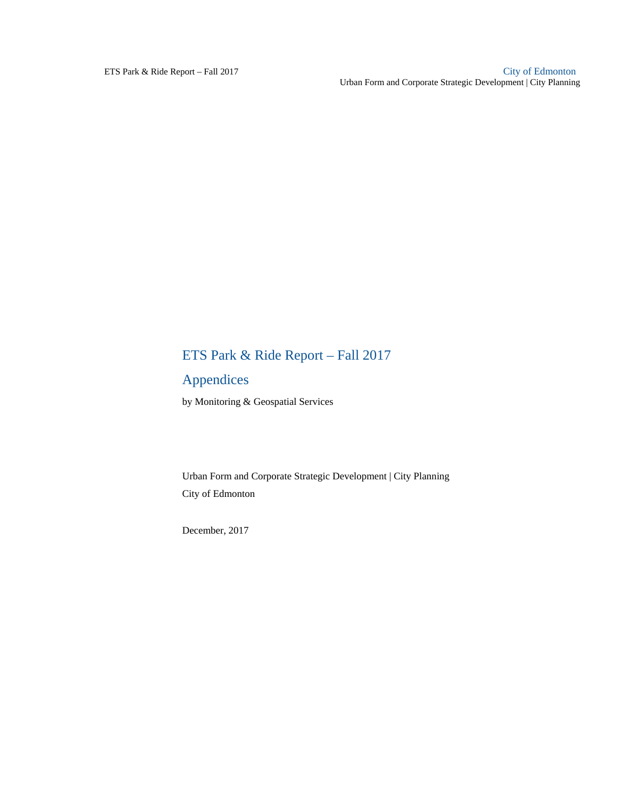## ETS Park & Ride Report – Fall 2017

## Appendices

by Monitoring & Geospatial Services

Urban Form and Corporate Strategic Development | City Planning City of Edmonton

December, 2017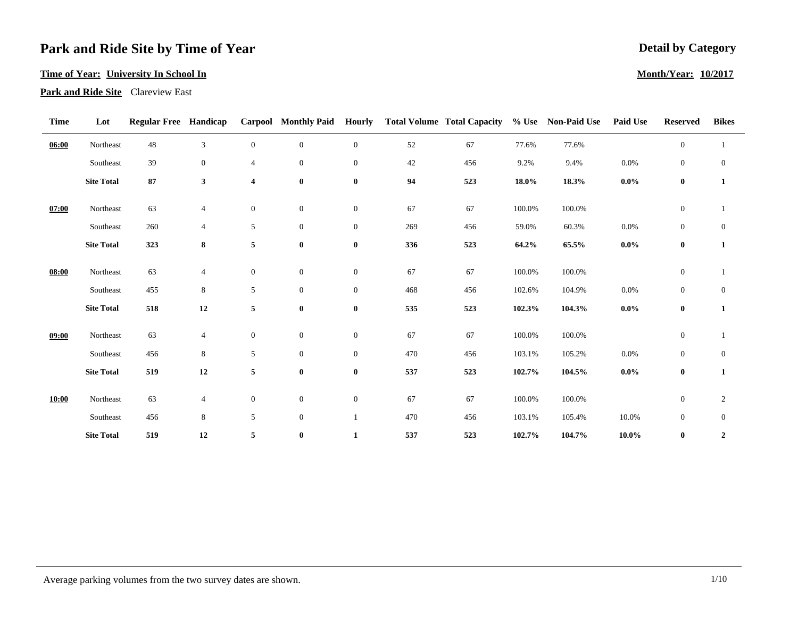#### **Time of Year: University In School In**

**Park and Ride Site** Clareview East

| <b>Time</b> | Lot               | <b>Regular Free Handicap</b> |                  |                         | <b>Carpool</b> Monthly Paid | <b>Hourly</b>    |     | <b>Total Volume Total Capacity</b> | $%$ Use  | <b>Non-Paid Use</b> | <b>Paid Use</b> | <b>Reserved</b>  | <b>Bikes</b>     |
|-------------|-------------------|------------------------------|------------------|-------------------------|-----------------------------|------------------|-----|------------------------------------|----------|---------------------|-----------------|------------------|------------------|
| 06:00       | Northeast         | 48                           | $\mathfrak{Z}$   | $\overline{0}$          | $\boldsymbol{0}$            | $\overline{0}$   | 52  | 67                                 | 77.6%    | 77.6%               |                 | $\mathbf{0}$     | 1                |
|             | Southeast         | 39                           | $\boldsymbol{0}$ | $\overline{4}$          | $\mathbf{0}$                | $\boldsymbol{0}$ | 42  | 456                                | 9.2%     | 9.4%                | 0.0%            | $\boldsymbol{0}$ | $\boldsymbol{0}$ |
|             | <b>Site Total</b> | 87                           | 3                | $\overline{\mathbf{4}}$ | $\bf{0}$                    | $\bf{0}$         | 94  | 523                                | $18.0\%$ | 18.3%               | $0.0\%$         | $\bf{0}$         | $\mathbf{1}$     |
| 07:00       | Northeast         | 63                           | $\overline{4}$   | $\boldsymbol{0}$        | $\mathbf{0}$                | $\boldsymbol{0}$ | 67  | 67                                 | 100.0%   | 100.0%              |                 | $\boldsymbol{0}$ | 1                |
|             | Southeast         | 260                          | 4                | 5                       | $\overline{0}$              | $\overline{0}$   | 269 | 456                                | 59.0%    | 60.3%               | 0.0%            | $\mathbf{0}$     | $\mathbf{0}$     |
|             | <b>Site Total</b> | 323                          | 8                | 5                       | $\bf{0}$                    | $\bf{0}$         | 336 | 523                                | 64.2%    | 65.5%               | $0.0\%$         | $\bf{0}$         | $\mathbf{1}$     |
| 08:00       | Northeast         | 63                           | $\overline{4}$   | $\boldsymbol{0}$        | $\boldsymbol{0}$            | $\boldsymbol{0}$ | 67  | 67                                 | 100.0%   | 100.0%              |                 | $\boldsymbol{0}$ | $\mathbf{1}$     |
|             | Southeast         | 455                          | $\,8\,$          | 5                       | $\boldsymbol{0}$            | $\overline{0}$   | 468 | 456                                | 102.6%   | 104.9%              | 0.0%            | $\mathbf{0}$     | $\boldsymbol{0}$ |
|             | <b>Site Total</b> | 518                          | $\bf 12$         | 5                       | $\bf{0}$                    | $\bf{0}$         | 535 | 523                                | 102.3%   | 104.3%              | $0.0\%$         | $\bf{0}$         | $\mathbf{1}$     |
| 09:00       | Northeast         | 63                           | $\overline{4}$   | $\mathbf{0}$            | $\boldsymbol{0}$            | $\overline{0}$   | 67  | 67                                 | 100.0%   | 100.0%              |                 | $\boldsymbol{0}$ |                  |
|             | Southeast         | 456                          | $\,8\,$          | 5                       | $\overline{0}$              | $\overline{0}$   | 470 | 456                                | 103.1%   | 105.2%              | 0.0%            | $\boldsymbol{0}$ | $\mathbf{0}$     |
|             | <b>Site Total</b> | 519                          | 12               | $5\phantom{.0}$         | $\bf{0}$                    | $\bf{0}$         | 537 | 523                                | 102.7%   | 104.5%              | $0.0\%$         | $\bf{0}$         | $\mathbf{1}$     |
| 10:00       | Northeast         | 63                           | 4                | $\mathbf{0}$            | $\overline{0}$              | $\overline{0}$   | 67  | 67                                 | 100.0%   | 100.0%              |                 | $\boldsymbol{0}$ | $\overline{c}$   |
|             | Southeast         | 456                          | $\,8\,$          | 5                       | $\boldsymbol{0}$            | 1                | 470 | 456                                | 103.1%   | 105.4%              | 10.0%           | $\boldsymbol{0}$ | $\mathbf{0}$     |
|             | <b>Site Total</b> | 519                          | 12               | 5                       | $\bf{0}$                    | $\mathbf{1}$     | 537 | 523                                | 102.7%   | 104.7%              | 10.0%           | $\bf{0}$         | $\boldsymbol{2}$ |

### **Detail by Category**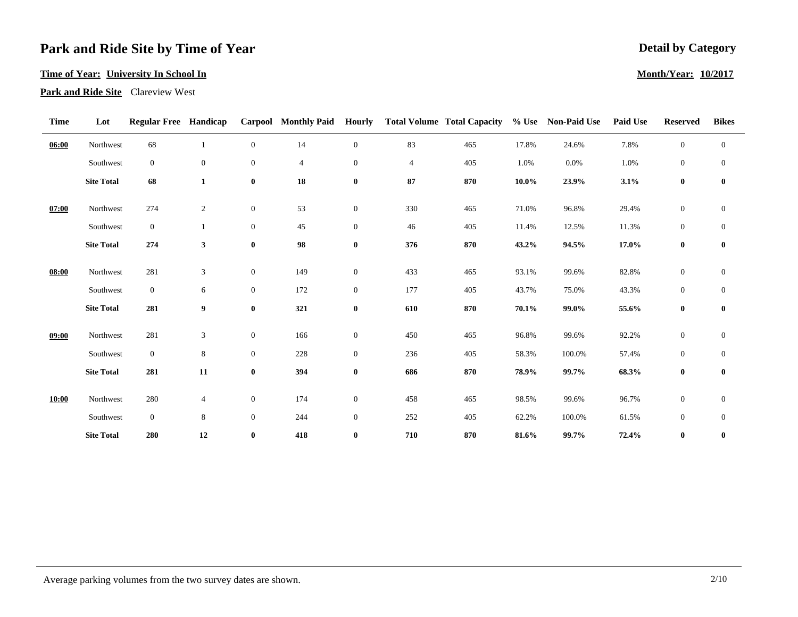#### **Time of Year: University In School In**

**Park and Ride Site** Clareview West

| <b>Time</b> | Lot               | <b>Regular Free Handicap</b> |                |                  | <b>Carpool</b> Monthly Paid | <b>Hourly</b>    |                | <b>Total Volume Total Capacity</b> |          | % Use Non-Paid Use | Paid Use | <b>Reserved</b>  | <b>Bikes</b>     |
|-------------|-------------------|------------------------------|----------------|------------------|-----------------------------|------------------|----------------|------------------------------------|----------|--------------------|----------|------------------|------------------|
| 06:00       | Northwest         | 68                           | 1              | $\overline{0}$   | 14                          | $\overline{0}$   | 83             | 465                                | 17.8%    | 24.6%              | 7.8%     | $\boldsymbol{0}$ | $\mathbf{0}$     |
|             | Southwest         | $\overline{0}$               | $\overline{0}$ | $\boldsymbol{0}$ | $\overline{4}$              | $\overline{0}$   | $\overline{4}$ | 405                                | 1.0%     | 0.0%               | 1.0%     | $\boldsymbol{0}$ | $\boldsymbol{0}$ |
|             | <b>Site Total</b> | 68                           | $\mathbf{1}$   | $\bf{0}$         | 18                          | $\bf{0}$         | 87             | 870                                | $10.0\%$ | 23.9%              | 3.1%     | $\bf{0}$         | $\bf{0}$         |
| 07:00       | Northwest         | 274                          | 2              | $\boldsymbol{0}$ | 53                          | $\boldsymbol{0}$ | 330            | 465                                | 71.0%    | 96.8%              | 29.4%    | $\boldsymbol{0}$ | $\boldsymbol{0}$ |
|             | Southwest         | $\overline{0}$               | 1              | $\mathbf{0}$     | 45                          | $\boldsymbol{0}$ | 46             | 405                                | 11.4%    | 12.5%              | 11.3%    | $\overline{0}$   | $\boldsymbol{0}$ |
|             | <b>Site Total</b> | 274                          | 3              | $\boldsymbol{0}$ | 98                          | $\pmb{0}$        | 376            | 870                                | 43.2%    | 94.5%              | 17.0%    | $\bf{0}$         | $\bf{0}$         |
| 08:00       | Northwest         | 281                          | 3              | $\boldsymbol{0}$ | 149                         | $\boldsymbol{0}$ | 433            | 465                                | 93.1%    | 99.6%              | 82.8%    | $\mathbf{0}$     | $\boldsymbol{0}$ |
|             | Southwest         | $\overline{0}$               | 6              | $\mathbf{0}$     | 172                         | $\boldsymbol{0}$ | 177            | 405                                | 43.7%    | 75.0%              | 43.3%    | $\boldsymbol{0}$ | $\mathbf{0}$     |
|             | <b>Site Total</b> | 281                          | 9              | $\bf{0}$         | 321                         | $\bf{0}$         | 610            | 870                                | 70.1%    | 99.0%              | 55.6%    | $\bf{0}$         | $\bf{0}$         |
| 09:00       | Northwest         | 281                          | 3              | $\boldsymbol{0}$ | 166                         | $\overline{0}$   | 450            | 465                                | 96.8%    | 99.6%              | 92.2%    | $\mathbf{0}$     | $\boldsymbol{0}$ |
|             | Southwest         | $\mathbf{0}$                 | $\,$ 8 $\,$    | $\mathbf{0}$     | 228                         | $\overline{0}$   | 236            | 405                                | 58.3%    | 100.0%             | 57.4%    | $\mathbf{0}$     | $\boldsymbol{0}$ |
|             | <b>Site Total</b> | 281                          | ${\bf 11}$     | $\boldsymbol{0}$ | 394                         | $\bf{0}$         | 686            | 870                                | 78.9%    | 99.7%              | 68.3%    | $\bf{0}$         | $\bf{0}$         |
| 10:00       | Northwest         | 280                          | 4              | $\mathbf{0}$     | 174                         | $\overline{0}$   | 458            | 465                                | 98.5%    | 99.6%              | 96.7%    | $\boldsymbol{0}$ | $\mathbf{0}$     |
|             | Southwest         | $\overline{0}$               | $\,$ 8 $\,$    | $\mathbf{0}$     | 244                         | $\boldsymbol{0}$ | 252            | 405                                | 62.2%    | 100.0%             | 61.5%    | $\boldsymbol{0}$ | $\boldsymbol{0}$ |
|             | <b>Site Total</b> | 280                          | 12             | $\bf{0}$         | 418                         | $\bf{0}$         | 710            | 870                                | 81.6%    | 99.7%              | 72.4%    | $\bf{0}$         | $\bf{0}$         |

### **Detail by Category**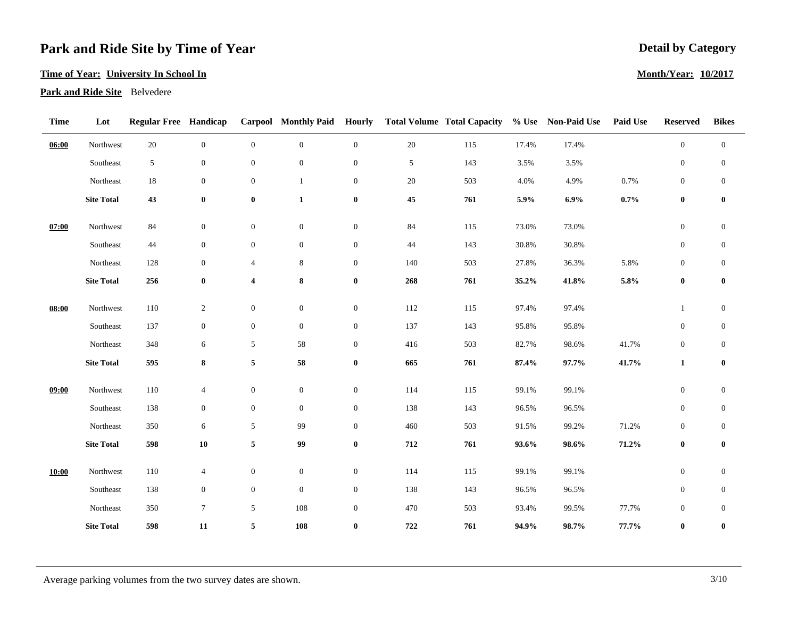#### **Time of Year: University In School In**

**Park and Ride Site** Belvedere

| <b>Time</b> | Lot               | <b>Regular Free Handicap</b> |                  |                         |                  |                  |             | Carpool Monthly Paid Hourly Total Volume Total Capacity |       | % Use Non-Paid Use | <b>Paid Use</b> | <b>Reserved</b>  | <b>Bikes</b>     |
|-------------|-------------------|------------------------------|------------------|-------------------------|------------------|------------------|-------------|---------------------------------------------------------|-------|--------------------|-----------------|------------------|------------------|
| 06:00       | Northwest         | $20\,$                       | $\boldsymbol{0}$ | $\boldsymbol{0}$        | $\boldsymbol{0}$ | $\boldsymbol{0}$ | $20\,$      | 115                                                     | 17.4% | 17.4%              |                 | $\boldsymbol{0}$ | $\boldsymbol{0}$ |
|             | Southeast         | 5                            | $\boldsymbol{0}$ | $\boldsymbol{0}$        | $\mathbf{0}$     | $\boldsymbol{0}$ | 5           | 143                                                     | 3.5%  | 3.5%               |                 | $\boldsymbol{0}$ | $\mathbf{0}$     |
|             | Northeast         | 18                           | $\boldsymbol{0}$ | $\boldsymbol{0}$        | $\mathbf{1}$     | $\boldsymbol{0}$ | $20\,$      | 503                                                     | 4.0%  | 4.9%               | 0.7%            | $\boldsymbol{0}$ | $\mathbf{0}$     |
|             | <b>Site Total</b> | 43                           | $\pmb{0}$        | $\pmb{0}$               | $\mathbf{1}$     | $\pmb{0}$        | 45          | 761                                                     | 5.9%  | $6.9\%$            | $0.7\%$         | $\boldsymbol{0}$ | $\pmb{0}$        |
| 07:00       | Northwest         | 84                           | $\boldsymbol{0}$ | $\boldsymbol{0}$        | $\boldsymbol{0}$ | $\boldsymbol{0}$ | $84\,$      | 115                                                     | 73.0% | 73.0%              |                 | $\boldsymbol{0}$ | $\boldsymbol{0}$ |
|             | Southeast         | 44                           | $\boldsymbol{0}$ | $\mathbf{0}$            | $\mathbf{0}$     | $\boldsymbol{0}$ | 44          | 143                                                     | 30.8% | 30.8%              |                 | $\boldsymbol{0}$ | $\boldsymbol{0}$ |
|             | Northeast         | 128                          | $\boldsymbol{0}$ | $\overline{4}$          | 8                | $\boldsymbol{0}$ | 140         | 503                                                     | 27.8% | 36.3%              | 5.8%            | $\boldsymbol{0}$ | $\mathbf{0}$     |
|             | <b>Site Total</b> | 256                          | $\bf{0}$         | $\overline{\mathbf{4}}$ | 8                | $\bf{0}$         | ${\bf 268}$ | 761                                                     | 35.2% | 41.8%              | 5.8%            | $\bf{0}$         | $\bf{0}$         |
| 08:00       | Northwest         | 110                          | $\sqrt{2}$       | $\boldsymbol{0}$        | $\mathbf{0}$     | $\boldsymbol{0}$ | 112         | 115                                                     | 97.4% | 97.4%              |                 | $\mathbf{1}$     | $\boldsymbol{0}$ |
|             | Southeast         | 137                          | $\boldsymbol{0}$ | $\overline{0}$          | $\mathbf{0}$     | $\boldsymbol{0}$ | 137         | 143                                                     | 95.8% | 95.8%              |                 | $\mathbf{0}$     | $\boldsymbol{0}$ |
|             | Northeast         | 348                          | $\sqrt{6}$       | $\mathfrak{S}$          | 58               | $\boldsymbol{0}$ | 416         | 503                                                     | 82.7% | 98.6%              | 41.7%           | $\boldsymbol{0}$ | $\boldsymbol{0}$ |
|             | <b>Site Total</b> | 595                          | 8                | 5                       | 58               | $\bf{0}$         | 665         | 761                                                     | 87.4% | 97.7%              | 41.7%           | $\mathbf{1}$     | $\pmb{0}$        |
| 09:00       | Northwest         | 110                          | $\overline{4}$   | $\boldsymbol{0}$        | $\boldsymbol{0}$ | $\boldsymbol{0}$ | 114         | 115                                                     | 99.1% | 99.1%              |                 | $\boldsymbol{0}$ | $\boldsymbol{0}$ |
|             | Southeast         | 138                          | $\boldsymbol{0}$ | $\boldsymbol{0}$        | $\mathbf{0}$     | $\boldsymbol{0}$ | 138         | 143                                                     | 96.5% | 96.5%              |                 | $\boldsymbol{0}$ | $\boldsymbol{0}$ |
|             | Northeast         | 350                          | $\sqrt{6}$       | $\mathfrak{S}$          | 99               | $\boldsymbol{0}$ | 460         | 503                                                     | 91.5% | 99.2%              | 71.2%           | $\boldsymbol{0}$ | $\boldsymbol{0}$ |
|             | <b>Site Total</b> | 598                          | ${\bf 10}$       | $5\phantom{.0}$         | 99               | $\pmb{0}$        | 712         | 761                                                     | 93.6% | 98.6%              | 71.2%           | $\bf{0}$         | $\pmb{0}$        |
|             |                   |                              |                  |                         |                  |                  |             |                                                         |       |                    |                 |                  |                  |
| 10:00       | Northwest         | 110                          | $\overline{4}$   | $\boldsymbol{0}$        | $\mathbf{0}$     | $\boldsymbol{0}$ | 114         | 115                                                     | 99.1% | 99.1%              |                 | $\mathbf{0}$     | $\boldsymbol{0}$ |
|             | Southeast         | 138                          | $\boldsymbol{0}$ | $\boldsymbol{0}$        | $\mathbf{0}$     | $\boldsymbol{0}$ | 138         | 143                                                     | 96.5% | 96.5%              |                 | $\boldsymbol{0}$ | $\boldsymbol{0}$ |
|             | Northeast         | 350                          | $\tau$           | 5 <sub>5</sub>          | $108\,$          | $\boldsymbol{0}$ | 470         | 503                                                     | 93.4% | 99.5%              | 77.7%           | $\boldsymbol{0}$ | $\boldsymbol{0}$ |
|             | <b>Site Total</b> | 598                          | 11               | 5                       | 108              | $\bf{0}$         | 722         | 761                                                     | 94.9% | 98.7%              | 77.7%           | $\bf{0}$         | $\pmb{0}$        |

### **Detail by Category**

#### **Month/Year: 10/2017**

Average parking volumes from the two survey dates are shown. 3/10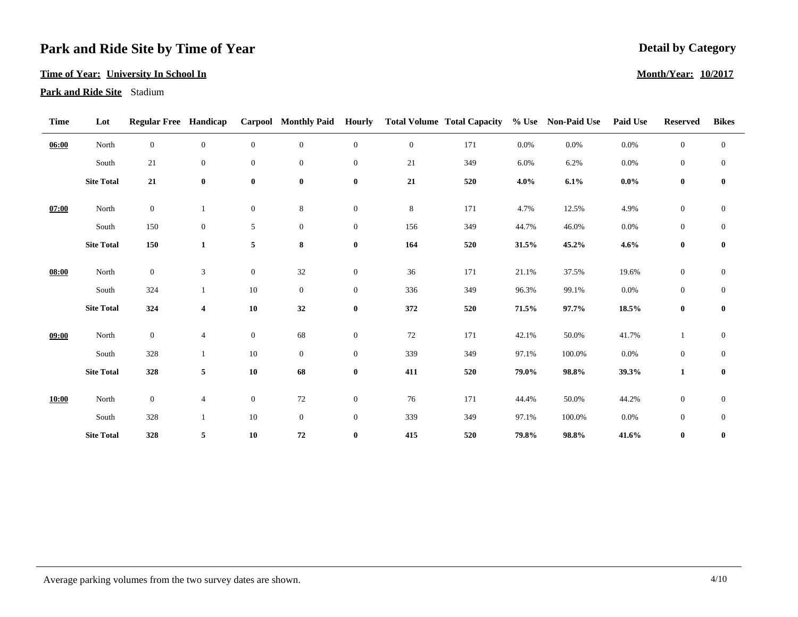#### **Time of Year: University In School In**

**Park and Ride Site** Stadium

| <b>Time</b> | Lot               | <b>Regular Free Handicap</b> |                         |                  | <b>Carpool</b> Monthly Paid | <b>Hourly</b>    |              | <b>Total Volume Total Capacity</b> |         | % Use Non-Paid Use | Paid Use | <b>Reserved</b>  | <b>Bikes</b>     |
|-------------|-------------------|------------------------------|-------------------------|------------------|-----------------------------|------------------|--------------|------------------------------------|---------|--------------------|----------|------------------|------------------|
| 06:00       | North             | $\overline{0}$               | $\overline{0}$          | $\overline{0}$   | $\boldsymbol{0}$            | $\overline{0}$   | $\mathbf{0}$ | 171                                | $0.0\%$ | $0.0\%$            | $0.0\%$  | $\mathbf{0}$     | $\boldsymbol{0}$ |
|             | South             | 21                           | $\overline{0}$          | $\boldsymbol{0}$ | $\boldsymbol{0}$            | $\overline{0}$   | 21           | 349                                | 6.0%    | 6.2%               | 0.0%     | $\boldsymbol{0}$ | $\boldsymbol{0}$ |
|             | <b>Site Total</b> | ${\bf 21}$                   | $\bf{0}$                | $\boldsymbol{0}$ | $\bf{0}$                    | $\bf{0}$         | 21           | 520                                | $4.0\%$ | 6.1%               | $0.0\%$  | $\bf{0}$         | $\bf{0}$         |
| 07:00       | North             | $\overline{0}$               | 1                       | $\boldsymbol{0}$ | 8                           | $\overline{0}$   | $\,8\,$      | 171                                | 4.7%    | 12.5%              | 4.9%     | $\boldsymbol{0}$ | $\mathbf{0}$     |
|             | South             | 150                          | $\overline{0}$          | 5                | $\boldsymbol{0}$            | $\boldsymbol{0}$ | 156          | 349                                | 44.7%   | 46.0%              | 0.0%     | $\boldsymbol{0}$ | $\boldsymbol{0}$ |
|             | <b>Site Total</b> | 150                          | $\mathbf{1}$            | 5                | 8                           | $\bf{0}$         | 164          | 520                                | 31.5%   | 45.2%              | 4.6%     | $\bf{0}$         | $\bf{0}$         |
| 08:00       | North             | $\overline{0}$               | $\mathfrak z$           | $\boldsymbol{0}$ | 32                          | $\boldsymbol{0}$ | 36           | 171                                | 21.1%   | 37.5%              | 19.6%    | $\mathbf{0}$     | $\boldsymbol{0}$ |
|             | South             | 324                          | $\mathbf{1}$            | $10\,$           | $\mathbf{0}$                | $\overline{0}$   | 336          | 349                                | 96.3%   | 99.1%              | 0.0%     | $\boldsymbol{0}$ | $\mathbf{0}$     |
|             | <b>Site Total</b> | 324                          | $\overline{\mathbf{4}}$ | ${\bf 10}$       | $32\,$                      | $\bf{0}$         | 372          | 520                                | 71.5%   | 97.7%              | 18.5%    | $\bf{0}$         | $\bf{0}$         |
| 09:00       | North             | $\mathbf{0}$                 | $\overline{4}$          | $\boldsymbol{0}$ | 68                          | $\overline{0}$   | 72           | 171                                | 42.1%   | 50.0%              | 41.7%    |                  | $\boldsymbol{0}$ |
|             | South             | 328                          | $\mathbf{1}$            | 10               | $\boldsymbol{0}$            | $\overline{0}$   | 339          | 349                                | 97.1%   | 100.0%             | 0.0%     | $\boldsymbol{0}$ | $\boldsymbol{0}$ |
|             | <b>Site Total</b> | 328                          | 5                       | ${\bf 10}$       | 68                          | $\bf{0}$         | 411          | 520                                | 79.0%   | 98.8%              | 39.3%    | $\mathbf{1}$     | $\boldsymbol{0}$ |
| 10:00       | North             | $\overline{0}$               | $\overline{4}$          | $\boldsymbol{0}$ | $72\,$                      | $\overline{0}$   | $76\,$       | 171                                | 44.4%   | 50.0%              | 44.2%    | $\boldsymbol{0}$ | $\boldsymbol{0}$ |
|             | South             | 328                          |                         | $10\,$           | $\boldsymbol{0}$            | $\boldsymbol{0}$ | 339          | 349                                | 97.1%   | 100.0%             | 0.0%     | $\boldsymbol{0}$ | $\boldsymbol{0}$ |
|             | <b>Site Total</b> | 328                          | 5                       | ${\bf 10}$       | ${\bf 72}$                  | $\bf{0}$         | 415          | 520                                | 79.8%   | 98.8%              | 41.6%    | $\bf{0}$         | $\bf{0}$         |

### **Detail by Category**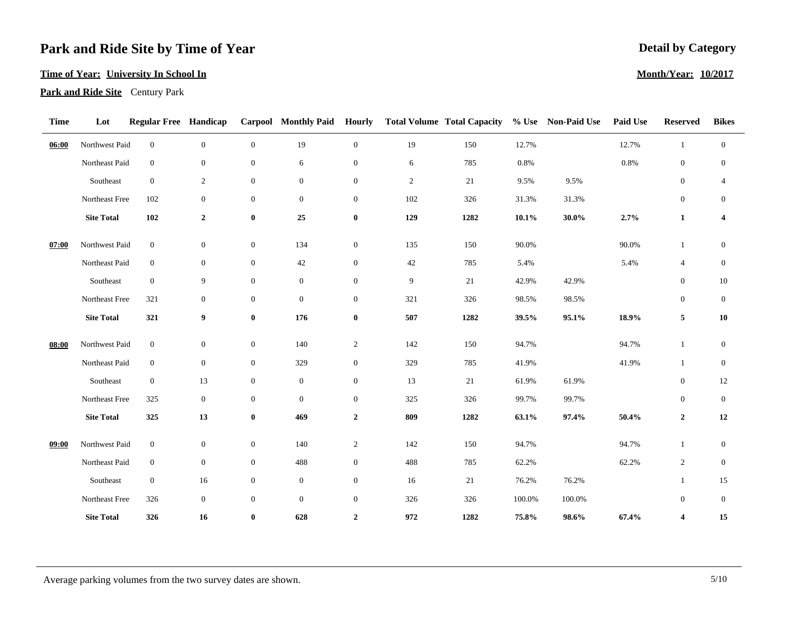#### **Time of Year: University In School In**

**Park and Ride Site** Century Park

| <b>Time</b> | Lot               | <b>Regular Free Handicap</b> |                  |                  |                  |                  |                | Carpool Monthly Paid Hourly Total Volume Total Capacity |          | % Use Non-Paid Use | <b>Paid Use</b> | <b>Reserved</b>         | <b>Bikes</b>             |
|-------------|-------------------|------------------------------|------------------|------------------|------------------|------------------|----------------|---------------------------------------------------------|----------|--------------------|-----------------|-------------------------|--------------------------|
| 06:00       | Northwest Paid    | $\boldsymbol{0}$             | $\boldsymbol{0}$ | $\boldsymbol{0}$ | 19               | $\boldsymbol{0}$ | 19             | 150                                                     | 12.7%    |                    | 12.7%           | $\mathbf{1}$            | $\boldsymbol{0}$         |
|             | Northeast Paid    | $\boldsymbol{0}$             | $\mathbf{0}$     | $\mathbf{0}$     | 6                | $\overline{0}$   | $\sqrt{6}$     | 785                                                     | 0.8%     |                    | 0.8%            | $\mathbf{0}$            | $\boldsymbol{0}$         |
|             | Southeast         | $\boldsymbol{0}$             | $\overline{2}$   | $\mathbf{0}$     | $\boldsymbol{0}$ | $\overline{0}$   | $\overline{c}$ | 21                                                      | 9.5%     | 9.5%               |                 | $\boldsymbol{0}$        | $\overline{\mathcal{L}}$ |
|             | Northeast Free    | 102                          | $\boldsymbol{0}$ | $\mathbf{0}$     | $\boldsymbol{0}$ | $\boldsymbol{0}$ | $102\,$        | 326                                                     | 31.3%    | 31.3%              |                 | $\boldsymbol{0}$        | $\boldsymbol{0}$         |
|             | <b>Site Total</b> | ${\bf 102}$                  | $\overline{2}$   | $\bf{0}$         | 25               | $\pmb{0}$        | 129            | 1282                                                    | $10.1\%$ | $30.0\%$           | 2.7%            | $\mathbf{1}$            | $\boldsymbol{4}$         |
| 07:00       | Northwest Paid    | $\overline{0}$               | $\overline{0}$   | $\mathbf{0}$     | 134              | $\overline{0}$   | 135            | 150                                                     | 90.0%    |                    | 90.0%           | $\mathbf{1}$            | $\boldsymbol{0}$         |
|             | Northeast Paid    | $\boldsymbol{0}$             | $\boldsymbol{0}$ | $\mathbf{0}$     | 42               | $\boldsymbol{0}$ | $42\,$         | 785                                                     | 5.4%     |                    | 5.4%            | $\overline{4}$          | $\boldsymbol{0}$         |
|             | Southeast         | $\boldsymbol{0}$             | 9                | $\mathbf{0}$     | $\boldsymbol{0}$ | $\overline{0}$   | $\overline{9}$ | 21                                                      | 42.9%    | 42.9%              |                 | $\mathbf{0}$            | 10                       |
|             | Northeast Free    | 321                          | $\mathbf{0}$     | $\mathbf{0}$     | $\boldsymbol{0}$ | $\overline{0}$   | 321            | 326                                                     | 98.5%    | 98.5%              |                 | $\mathbf{0}$            | $\boldsymbol{0}$         |
|             | <b>Site Total</b> | 321                          | $\boldsymbol{9}$ | $\bf{0}$         | 176              | $\pmb{0}$        | 507            | 1282                                                    | 39.5%    | 95.1%              | 18.9%           | 5                       | ${\bf 10}$               |
| 08:00       | Northwest Paid    | $\boldsymbol{0}$             | $\boldsymbol{0}$ | $\mathbf{0}$     | 140              | $\overline{c}$   | 142            | 150                                                     | 94.7%    |                    | 94.7%           | $\mathbf{1}$            | $\boldsymbol{0}$         |
|             | Northeast Paid    | $\boldsymbol{0}$             | $\boldsymbol{0}$ | $\mathbf{0}$     | 329              | $\boldsymbol{0}$ | 329            | 785                                                     | 41.9%    |                    | 41.9%           | $\mathbf{1}$            | $\mathbf{0}$             |
|             | Southeast         | $\overline{0}$               | 13               | $\mathbf{0}$     | $\boldsymbol{0}$ | $\boldsymbol{0}$ | 13             | $21\,$                                                  | 61.9%    | 61.9%              |                 | $\boldsymbol{0}$        | $12\,$                   |
|             | Northeast Free    | 325                          | $\boldsymbol{0}$ | $\mathbf{0}$     | $\boldsymbol{0}$ | $\boldsymbol{0}$ | 325            | 326                                                     | 99.7%    | 99.7%              |                 | $\boldsymbol{0}$        | $\mathbf{0}$             |
|             | <b>Site Total</b> | 325                          | 13               | $\bf{0}$         | 469              | $\mathbf{2}$     | 809            | 1282                                                    | 63.1%    | 97.4%              | 50.4%           | $\overline{2}$          | 12                       |
| 09:00       | Northwest Paid    | $\boldsymbol{0}$             | $\mathbf{0}$     | $\mathbf{0}$     | 140              | $\overline{c}$   | 142            | 150                                                     | 94.7%    |                    | 94.7%           | $\mathbf{1}$            | $\boldsymbol{0}$         |
|             | Northeast Paid    | $\overline{0}$               | $\boldsymbol{0}$ | $\mathbf{0}$     | 488              | $\boldsymbol{0}$ | 488            | 785                                                     | 62.2%    |                    | 62.2%           | $\overline{c}$          | $\overline{0}$           |
|             | Southeast         | $\overline{0}$               | 16               | $\boldsymbol{0}$ | $\boldsymbol{0}$ | $\boldsymbol{0}$ | 16             | $21\,$                                                  | 76.2%    | 76.2%              |                 | $\mathbf{1}$            | $15\,$                   |
|             | Northeast Free    | 326                          | $\mathbf{0}$     | $\mathbf{0}$     | $\boldsymbol{0}$ | $\overline{0}$   | 326            | 326                                                     | 100.0%   | 100.0%             |                 | $\mathbf{0}$            | $\boldsymbol{0}$         |
|             | <b>Site Total</b> | 326                          | 16               | $\bf{0}$         | 628              | $\overline{2}$   | 972            | 1282                                                    | 75.8%    | 98.6%              | 67.4%           | $\overline{\mathbf{4}}$ | 15                       |

### **Detail by Category**

#### **Month/Year: 10/2017**

Average parking volumes from the two survey dates are shown. 5/10 5/10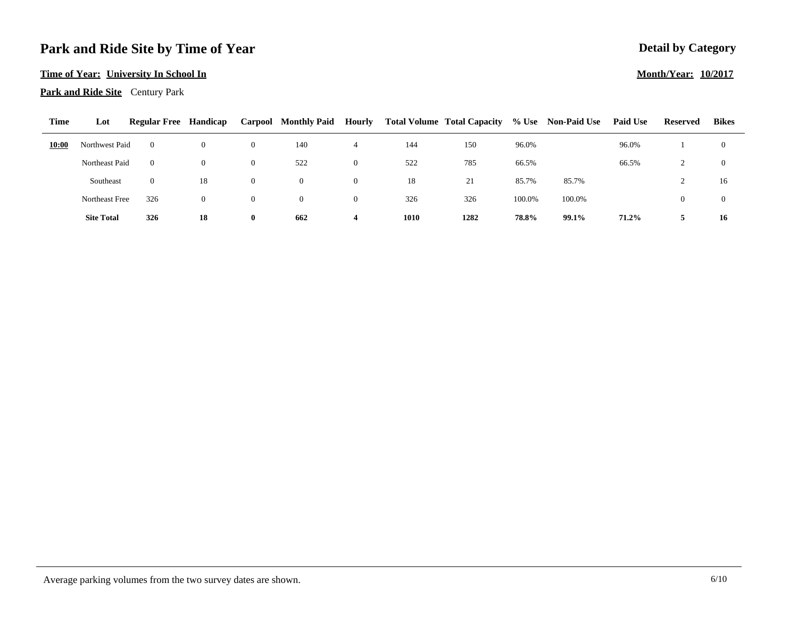#### **Time of Year: University In School In**

**Park and Ride Site** Century Park

| <b>Time</b> | Lot               | <b>Regular Free Handicap</b> |                |              | Carpool Monthly Paid | Hourly |      | <b>Total Volume Total Capacity</b> |        | % Use Non-Paid Use | <b>Paid Use</b> | Reserved | <b>Bikes</b> |  |
|-------------|-------------------|------------------------------|----------------|--------------|----------------------|--------|------|------------------------------------|--------|--------------------|-----------------|----------|--------------|--|
| 10:00       | Northwest Paid    | $\Omega$                     | $\overline{0}$ | $\theta$     | 140                  |        | 144  | 150                                | 96.0%  |                    | 96.0%           |          |              |  |
|             | Northeast Paid    | $\Omega$                     | $\Omega$       | $\Omega$     | 522                  |        | 522  | 785                                | 66.5%  |                    | 66.5%           |          |              |  |
|             | Southeast         | $\Omega$                     | 18             | $\theta$     |                      |        | 18   | 21                                 | 85.7%  | 85.7%              |                 |          | 16           |  |
|             | Northeast Free    | 326                          | $\overline{0}$ | $\Omega$     |                      |        | 326  | 326                                | 100.0% | 100.0%             |                 | $\bf{0}$ |              |  |
|             | <b>Site Total</b> | 326                          | 18             | $\mathbf{0}$ | 662                  |        | 1010 | 1282                               | 78.8%  | 99.1%              | 71.2%           |          | 16           |  |

# **Detail by Category**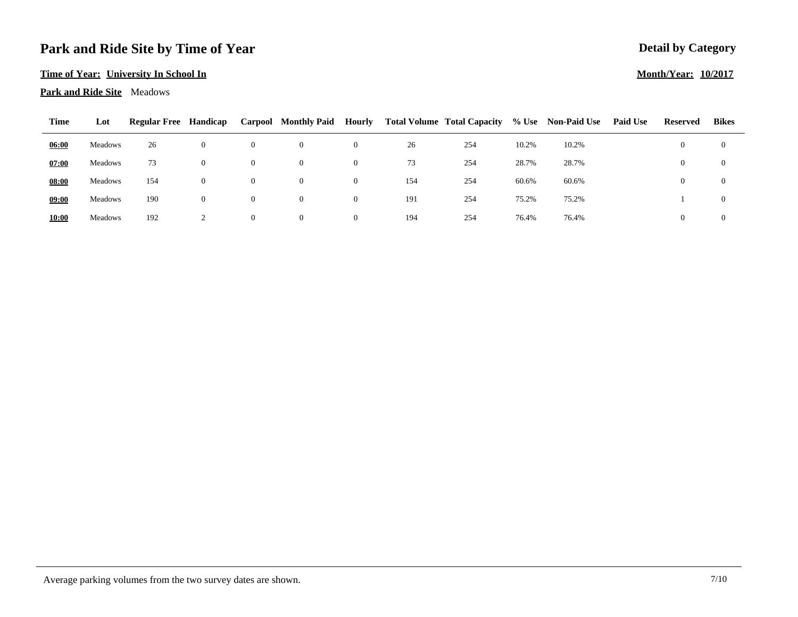#### **Time of Year: University In School In**

#### **Park and Ride Site** Meadows

| Time         | Lot     | <b>Regular Free</b> | Handicap       |                | <b>Carpool</b> Monthly Paid | Hourly   |     | <b>Total Volume Total Capacity</b> |       | % Use Non-Paid Use | <b>Paid Use</b> | Reserved | <b>Bikes</b>   |  |
|--------------|---------|---------------------|----------------|----------------|-----------------------------|----------|-----|------------------------------------|-------|--------------------|-----------------|----------|----------------|--|
| 06:00        | Meadows | 26                  | $\overline{0}$ | $\theta$       | $\theta$                    | 0        | 26  | 254                                | 10.2% | 10.2%              |                 | $\theta$ | $\overline{0}$ |  |
| 07:00        | Meadows | 73                  | $\overline{0}$ | $\overline{0}$ | $\theta$                    | 0        | 73  | 254                                | 28.7% | 28.7%              |                 | $\theta$ | $\overline{0}$ |  |
| 08:00        | Meadows | 154                 | $\overline{0}$ | $\theta$       | $\theta$                    | 0        | 154 | 254                                | 60.6% | 60.6%              |                 | $\theta$ | $\overline{0}$ |  |
| 09:00        | Meadows | 190                 | $\overline{0}$ | $\overline{0}$ | $\theta$                    | $\bf{0}$ | 191 | 254                                | 75.2% | 75.2%              |                 |          | $\overline{0}$ |  |
| <b>10:00</b> | Meadows | 192                 |                | $\overline{0}$ |                             | $_{0}$   | 194 | 254                                | 76.4% | 76.4%              |                 | $\theta$ | $\Omega$       |  |

## **Month/Year: 10/2017**

**Detail by Category**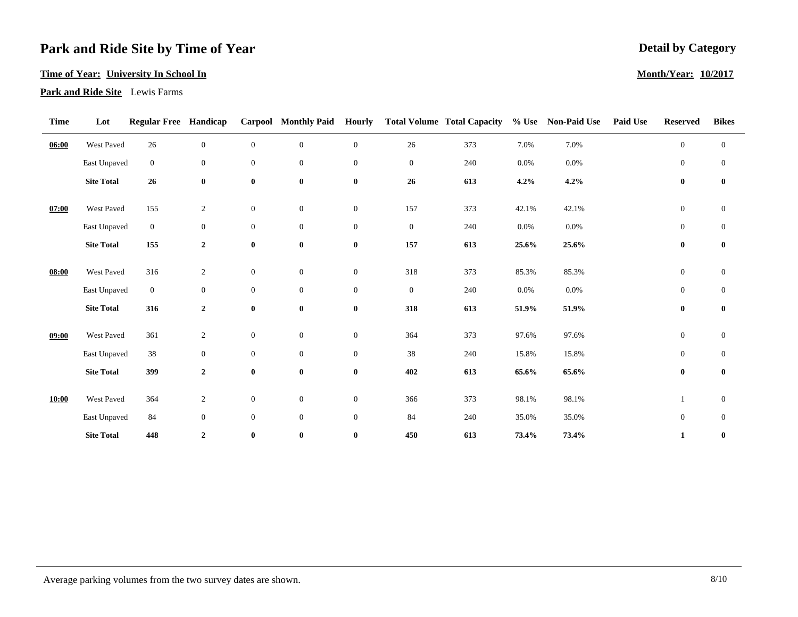#### **Time of Year: University In School In**

**Park and Ride Site** Lewis Farms

| Time  | Lot               | <b>Regular Free Handicap</b> |                  |                  | <b>Carpool</b> Monthly Paid | <b>Hourly</b>    |                  | <b>Total Volume Total Capacity</b> | $%$ Use | <b>Non-Paid Use</b> | <b>Paid Use</b> | <b>Reserved</b>  | <b>Bikes</b>     |
|-------|-------------------|------------------------------|------------------|------------------|-----------------------------|------------------|------------------|------------------------------------|---------|---------------------|-----------------|------------------|------------------|
| 06:00 | West Paved        | 26                           | $\boldsymbol{0}$ | $\mathbf{0}$     | $\boldsymbol{0}$            | $\boldsymbol{0}$ | 26               | 373                                | 7.0%    | 7.0%                |                 | $\mathbf{0}$     | $\mathbf{0}$     |
|       | East Unpaved      | $\overline{0}$               | $\boldsymbol{0}$ | $\mathbf{0}$     | $\boldsymbol{0}$            | $\overline{0}$   | $\mathbf{0}$     | 240                                | 0.0%    | 0.0%                |                 | $\boldsymbol{0}$ | $\mathbf{0}$     |
|       | <b>Site Total</b> | 26                           | $\bf{0}$         | $\boldsymbol{0}$ | $\bf{0}$                    | $\bf{0}$         | $26\phantom{.}$  | 613                                | $4.2\%$ | 4.2%                |                 | $\bf{0}$         | $\bf{0}$         |
| 07:00 | West Paved        | 155                          | $\sqrt{2}$       | $\boldsymbol{0}$ | $\boldsymbol{0}$            | $\boldsymbol{0}$ | 157              | 373                                | 42.1%   | 42.1%               |                 | $\boldsymbol{0}$ | $\boldsymbol{0}$ |
|       | East Unpaved      | $\overline{0}$               | $\mathbf{0}$     | $\mathbf{0}$     | $\boldsymbol{0}$            | $\boldsymbol{0}$ | $\boldsymbol{0}$ | 240                                | 0.0%    | 0.0%                |                 | $\mathbf{0}$     | $\boldsymbol{0}$ |
|       | <b>Site Total</b> | 155                          | $\mathbf{2}$     | $\boldsymbol{0}$ | $\bf{0}$                    | $\bf{0}$         | 157              | 613                                | 25.6%   | 25.6%               |                 | $\bf{0}$         | $\bf{0}$         |
| 08:00 | West Paved        | 316                          | $\boldsymbol{2}$ | $\boldsymbol{0}$ | $\mathbf{0}$                | $\boldsymbol{0}$ | 318              | 373                                | 85.3%   | 85.3%               |                 | $\boldsymbol{0}$ | $\boldsymbol{0}$ |
|       |                   |                              |                  |                  |                             |                  |                  |                                    |         |                     |                 |                  |                  |
|       | East Unpaved      | $\overline{0}$               | $\boldsymbol{0}$ | $\boldsymbol{0}$ | $\boldsymbol{0}$            | $\overline{0}$   | $\mathbf{0}$     | 240                                | 0.0%    | 0.0%                |                 | $\boldsymbol{0}$ | $\mathbf{0}$     |
|       | <b>Site Total</b> | 316                          | $\mathbf{2}$     | $\bf{0}$         | $\bf{0}$                    | $\bf{0}$         | 318              | 613                                | 51.9%   | 51.9%               |                 | $\bf{0}$         | $\bf{0}$         |
| 09:00 | West Paved        | 361                          | $\overline{2}$   | $\mathbf{0}$     | $\boldsymbol{0}$            | $\overline{0}$   | 364              | 373                                | 97.6%   | 97.6%               |                 | $\mathbf{0}$     | $\boldsymbol{0}$ |
|       |                   |                              |                  |                  |                             |                  |                  |                                    |         |                     |                 |                  |                  |
|       | East Unpaved      | 38                           | $\boldsymbol{0}$ | $\mathbf{0}$     | $\mathbf{0}$                | $\overline{0}$   | 38               | 240                                | 15.8%   | 15.8%               |                 | $\mathbf{0}$     | $\overline{0}$   |
|       | <b>Site Total</b> | 399                          | $\mathbf 2$      | $\bf{0}$         | $\bf{0}$                    | $\bf{0}$         | 402              | 613                                | 65.6%   | 65.6%               |                 | $\bf{0}$         | $\bf{0}$         |
|       |                   |                              |                  |                  |                             |                  |                  |                                    |         |                     |                 |                  |                  |
| 10:00 | West Paved        | 364                          | $\boldsymbol{2}$ | $\mathbf{0}$     | $\boldsymbol{0}$            | $\overline{0}$   | 366              | 373                                | 98.1%   | 98.1%               |                 |                  | $\boldsymbol{0}$ |
|       | East Unpaved      | 84                           | $\mathbf{0}$     | $\boldsymbol{0}$ | $\mathbf{0}$                | $\overline{0}$   | 84               | 240                                | 35.0%   | 35.0%               |                 | $\boldsymbol{0}$ | $\mathbf{0}$     |
|       | <b>Site Total</b> | 448                          | $\overline{2}$   | $\bf{0}$         | $\bf{0}$                    | $\bf{0}$         | 450              | 613                                | 73.4%   | 73.4%               |                 | $\mathbf{1}$     | $\bf{0}$         |

### **Detail by Category**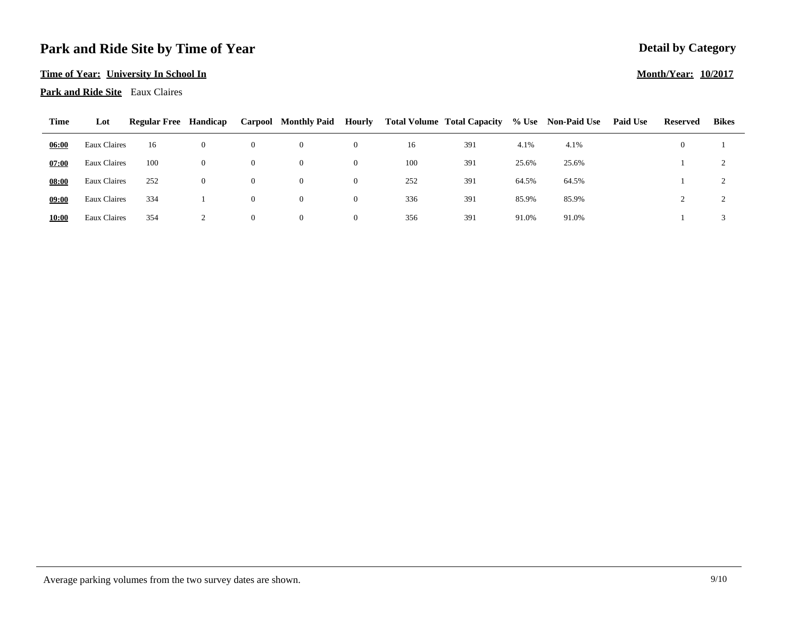#### **Time of Year: University In School In**

**Park and Ride Site** Eaux Claires

| Time  | Lot          | <b>Regular Free</b> | Handicap       |          | Carpool Monthly Paid | Hourly   |     | <b>Total Volume Total Capacity</b> |       | % Use Non-Paid Use | <b>Paid Use</b> | Reserved | <b>Bikes</b> |  |
|-------|--------------|---------------------|----------------|----------|----------------------|----------|-----|------------------------------------|-------|--------------------|-----------------|----------|--------------|--|
| 06:00 | Eaux Claires | 16                  | $\theta$       | $\theta$ | $\theta$             | 0        | 16  | 391                                | 4.1%  | 4.1%               |                 | $\theta$ |              |  |
| 07:00 | Eaux Claires | 100                 | $\theta$       | $\theta$ | $\theta$             | $\bf{0}$ | 100 | 391                                | 25.6% | 25.6%              |                 |          |              |  |
| 08:00 | Eaux Claires | 252                 | $\overline{0}$ | $\theta$ | $\theta$             | $\theta$ | 252 | 391                                | 64.5% | 64.5%              |                 |          |              |  |
| 09:00 | Eaux Claires | 334                 |                | $\theta$ | $\theta$             | $\bf{0}$ | 336 | 391                                | 85.9% | 85.9%              |                 |          |              |  |
| 10:00 | Eaux Claires | 354                 |                | $\theta$ | $\theta$             | $\theta$ | 356 | 391                                | 91.0% | 91.0%              |                 |          |              |  |

## **Detail by Category Month/Year: 10/2017**